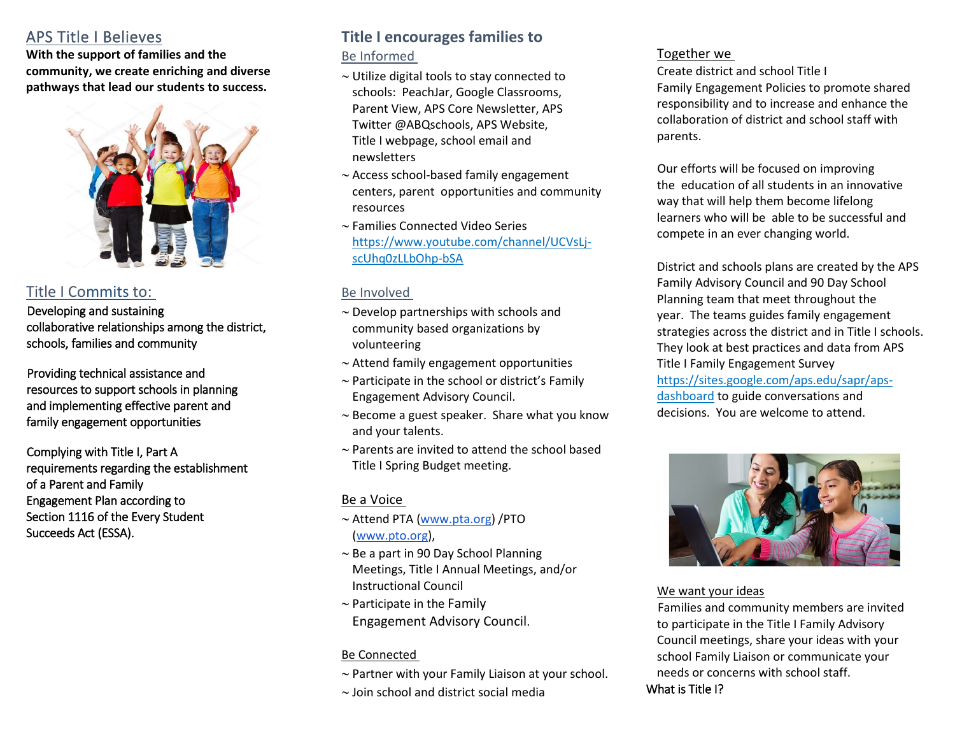## <span id="page-0-0"></span>APS Title I Believes

**With the support of families and the community, we create enriching and diverse pathways that lead our students to success.** 



## Title I Commits to:

Developing and sustaining collaborative relationships among the district, schools, families and community

Providing technical assistance and resources to support schools in planning and implementing effective parent and family engagement opportunities

Complying with Title I, Part A requirements regarding the establishment of a Parent and Family Engagement Plan according to Section 1116 of the Every Student Succeeds Act (ESSA).

# **Title I encourages families to**

## Be Informed

- ∼ Utilize digital tools to stay connected to schools: PeachJar, Google Classrooms, Parent View, APS Core Newsletter, APS Twitter @ABQschools, APS Website, Title I webpage, school email and newsletters
- ∼ Access school-based family engagement centers, parent opportunities and community resources
- ∼ Families Connected Video Series [https://www.youtube.com/channel/UCVsLj](#page-0-0)[scUhq0zLLbOhp-bSA](#page-0-0)

## Be Involved

- ∼ Develop partnerships with schools and community based organizations by volunteering
- ∼ Attend family engagement opportunities
- ∼ Participate in the school or district's Family Engagement Advisory Council.
- ∼ Become a guest speaker. Share what you know and your talents.
- ∼ Parents are invited to attend the school based Title I Spring Budget meeting.

## Be a Voice

- ∼ Attend PTA [\(www.pta.org\)](http://www.pta.org/) /PTO [\(www.pto.org\)](http://www.pto.org/),
- ∼ Be a part in 90 Day School Planning Meetings, Title I Annual Meetings, and/or Instructional Council
- ∼ Participate in the Family Engagement Advisory Council.

#### Be Connected

- ∼ Partner with your Family Liaison at your school.
- ∼ Join school and district social media

## Together we

Create district and school Title I Family Engagement Policies to promote shared responsibility and to increase and enhance the collaboration of district and school staff with parents.

Our efforts will be focused on improving the education of all students in an innovative way that will help them become lifelong learners who will be able to be successful and compete in an ever changing world.

District and schools plans are created by the APS Family Advisory Council and 90 Day School Planning team that meet throughout the year. The teams guides family engagement strategies across the district and in Title I schools. They look at best practices and data from APS Title I Family Engagement Survey [https://sites.google.com/aps.edu/sapr/aps](#page-0-0)[dashboard](#page-0-0) to guide conversations and decisions. You are welcome to attend.



#### We want your ideas

Families and community members are invited to participate in the Title I Family Advisory Council meetings, share your ideas with your school Family Liaison or communicate your needs or concerns with school staff. What is Title I?